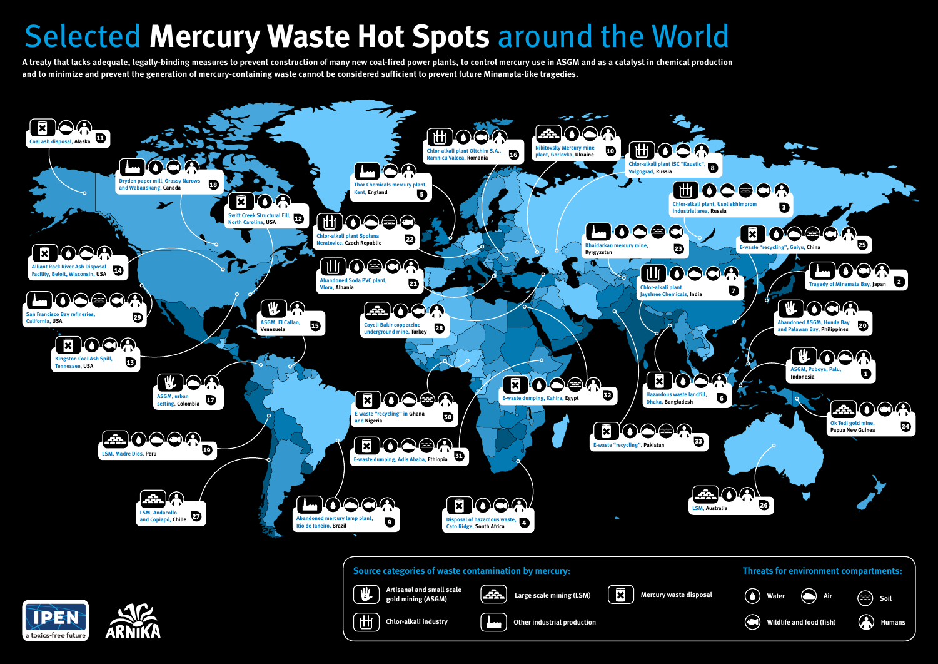# Selected *Mercury Waste Hot Spots* around the World

## *Source categories of waste contamination by mercury:*









*Wildlife and food (fish) Humans*

## *Threats for environment compartments:*



W



*A treaty that lacks adequate, legally-binding measures to prevent construction of many new coal-fired power plants, to control mercury use in ASGM and as a catalyst in chemical production and to minimize and prevent the generation of mercury-containing waste cannot be considered sufficient to prevent future Minamata-like tragedies.*

*Artisanal and small scale* 

*gold mining (ASGM) Large scale mining (LSM) Mercury waste disposal*





出

*Chlor-alkali industry Other industrial production*